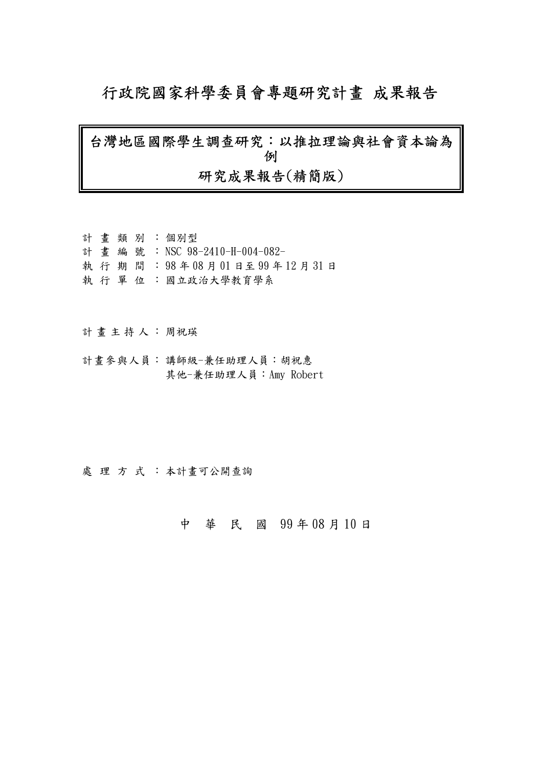# 行政院國家科學委員會專題研究計畫 成果報告

# 台灣地區國際學生調查研究:以推拉理論與社會資本論為 例 研究成果報告(精簡版)

|  |  | 計畫類別:個別型                         |
|--|--|----------------------------------|
|  |  | 計 書 編 號 : NSC 98-2410-H-004-082- |
|  |  | 執行期間: 98年08月01日至99年12月31日        |
|  |  | 執 行 單 位 : 國立政治大學教育學系             |

計畫主持人: 周祝瑛

計畫參與人員: 講師級-兼任助理人員:胡祝惠 其他-兼任助理人員:Amy Robert

處理方式:本計畫可公開查詢

## 中 華 民 國 99 年 08 月 10 日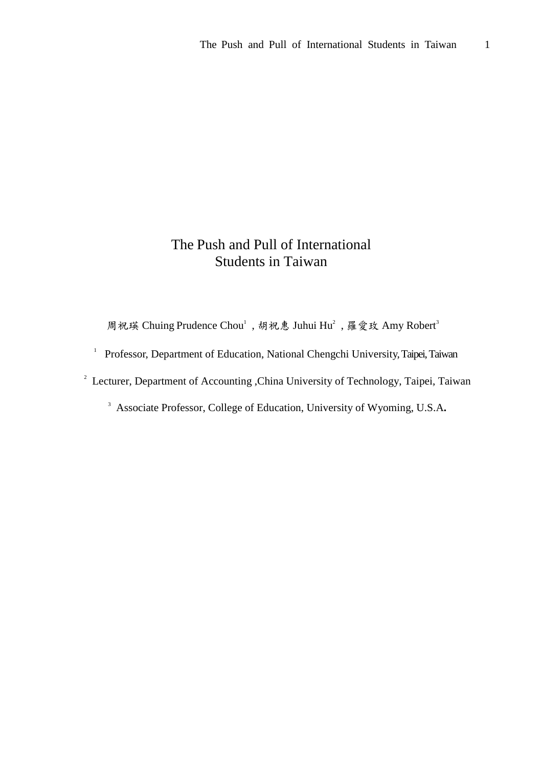## The Push and Pull of International Students in Taiwan

周祝瑛 Chuing Prudence Chou<sup>1</sup>, 胡祝惠 Juhui Hu<sup>2</sup>, 羅愛玫 Amy Robert<sup>3</sup>

<sup>1</sup> Professor, Department of Education, National Chengchi University, Taipei, Taiwan

<sup>2</sup> Lecturer, Department of Accounting , China University of Technology, Taipei, Taiwan

<sup>3</sup> Associate Professor, College of Education, University of Wyoming, U.S.A**.**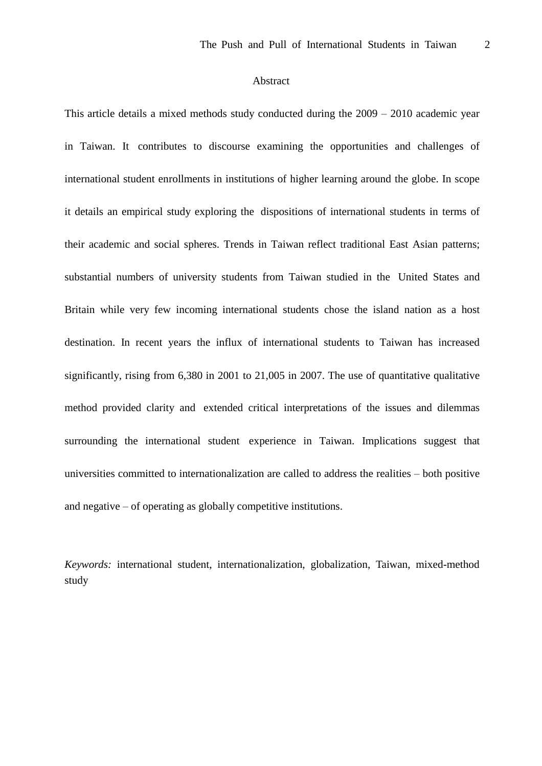## Abstract

This article details a mixed methods study conducted during the  $2009 - 2010$  academic year in Taiwan. It contributes to discourse examining the opportunities and challenges of international student enrollments in institutions of higher learning around the globe. In scope it details an empirical study exploring the dispositions of international students in terms of their academic and social spheres. Trends in Taiwan reflect traditional East Asian patterns; substantial numbers of university students from Taiwan studied in the United States and Britain while very few incoming international students chose the island nation as a host destination. In recent years the influx of international students to Taiwan has increased significantly, rising from 6,380 in 2001 to 21,005 in 2007. The use of quantitative qualitative method provided clarity and extended critical interpretations of the issues and dilemmas surrounding the international student experience in Taiwan. Implications suggest that universities committed to internationalization are called to address the realities –both positive and negative  $-$  of operating as globally competitive institutions.

*Keywords:* international student, internationalization, globalization, Taiwan, mixed-method study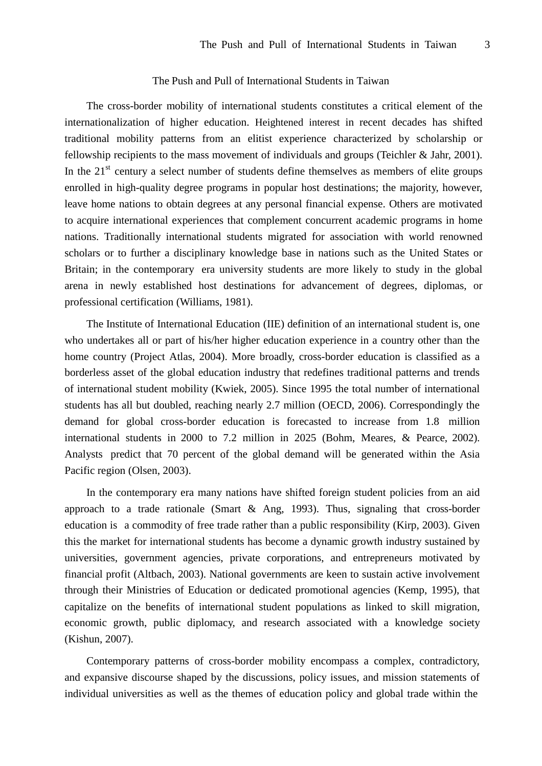### The Push and Pull of International Students in Taiwan

The cross-border mobility of international students constitutes a critical element of the internationalization of higher education. Heightened interest in recent decades has shifted traditional mobility patterns from an elitist experience characterized by scholarship or fellowship recipients to the mass movement of individuals and groups (Teichler & Jahr, 2001). In the  $21<sup>st</sup>$  century a select number of students define themselves as members of elite groups enrolled in high-quality degree programs in popular host destinations; the majority, however, leave home nations to obtain degrees at any personal financial expense. Others are motivated to acquire international experiences that complement concurrent academic programs in home nations. Traditionally international students migrated for association with world renowned scholars or to further a disciplinary knowledge base in nations such as the United States or Britain; in the contemporary era university students are more likely to study in the global arena in newly established host destinations for advancement of degrees, diplomas, or professional certification (Williams, 1981).

The Institute of International Education (IIE) definition of an international student is, one who undertakes all or part of his/her higher education experience in a country other than the home country (Project Atlas, 2004). More broadly, cross-border education is classified as a borderless asset of the global education industry that redefines traditional patterns and trends of international student mobility (Kwiek, 2005). Since 1995 the total number of international students has all but doubled, reaching nearly 2.7 million (OECD, 2006). Correspondingly the demand for global cross-border education is forecasted to increase from 1.8 million international students in 2000 to 7.2 million in 2025 (Bohm, Meares, & Pearce, 2002). Analysts predict that 70 percent of the global demand will be generated within the Asia Pacific region (Olsen, 2003).

In the contemporary era many nations have shifted foreign student policies from an aid approach to a trade rationale (Smart  $\&$  Ang, 1993). Thus, signaling that cross-border education is a commodity of free trade rather than a public responsibility (Kirp, 2003). Given this the market for international students has become a dynamic growth industry sustained by universities, government agencies, private corporations, and entrepreneurs motivated by financial profit (Altbach, 2003). National governments are keen to sustain active involvement through their Ministries of Education or dedicated promotional agencies (Kemp, 1995), that capitalize on the benefits of international student populations as linked to skill migration, economic growth, public diplomacy, and research associated with a knowledge society (Kishun, 2007).

Contemporary patterns of cross-border mobility encompass a complex, contradictory, and expansive discourse shaped by the discussions, policy issues, and mission statements of individual universities as well as the themes of education policy and global trade within the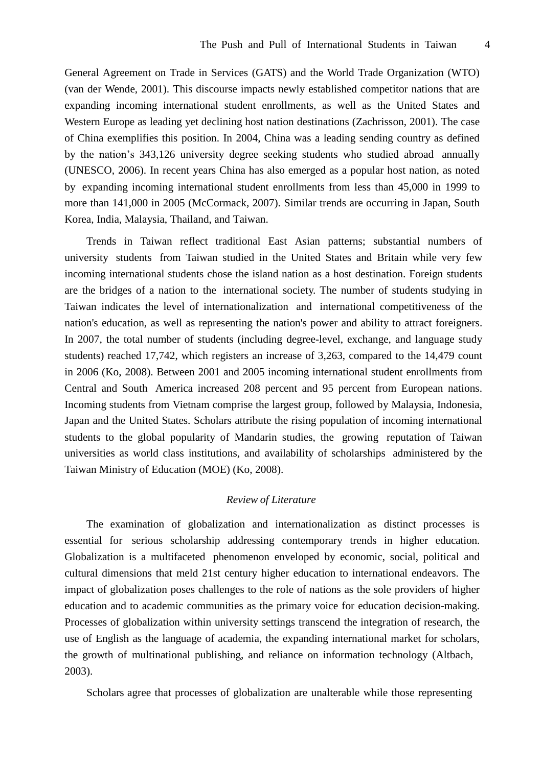General Agreement on Trade in Services (GATS) and the World Trade Organization (WTO) (van der Wende, 2001). This discourse impacts newly established competitor nations that are expanding incoming international student enrollments, as well as the United States and Western Europe as leading yet declining host nation destinations (Zachrisson, 2001). The case of China exemplifies this position. In 2004, China was a leading sending country as defined by the nation's 343,126 university degree seeking students who studied abroad annually (UNESCO, 2006). In recent years China has also emerged as a popular host nation, as noted by expanding incoming international student enrollments from less than 45,000 in 1999 to more than 141,000 in 2005 (McCormack, 2007). Similar trends are occurring in Japan, South Korea, India, Malaysia, Thailand, and Taiwan.

Trends in Taiwan reflect traditional East Asian patterns; substantial numbers of university students from Taiwan studied in the United States and Britain while very few incoming international students chose the island nation as a host destination. Foreign students are the bridges of a nation to the international society. The number of students studying in Taiwan indicates the level of internationalization and international competitiveness of the nation's education, as well as representing the nation's power and ability to attract foreigners. In 2007, the total number of students (including degree-level, exchange, and language study students) reached 17,742, which registers an increase of 3,263, compared to the 14,479 count in 2006 (Ko, 2008). Between 2001 and 2005 incoming international student enrollments from Central and South America increased 208 percent and 95 percent from European nations. Incoming students from Vietnam comprise the largest group, followed by Malaysia, Indonesia, Japan and the United States. Scholars attribute the rising population of incoming international students to the global popularity of Mandarin studies, the growing reputation of Taiwan universities as world class institutions, and availability of scholarships administered by the Taiwan Ministry of Education (MOE) (Ko, 2008).

## *Review of Literature*

The examination of globalization and internationalization as distinct processes is essential for serious scholarship addressing contemporary trends in higher education. Globalization is a multifaceted phenomenon enveloped by economic, social, political and cultural dimensions that meld 21st century higher education to international endeavors. The impact of globalization poses challenges to the role of nations as the sole providers of higher education and to academic communities as the primary voice for education decision-making. Processes of globalization within university settings transcend the integration of research, the use of English as the language of academia, the expanding international market for scholars, the growth of multinational publishing, and reliance on information technology (Altbach, 2003).

Scholars agree that processes of globalization are unalterable while those representing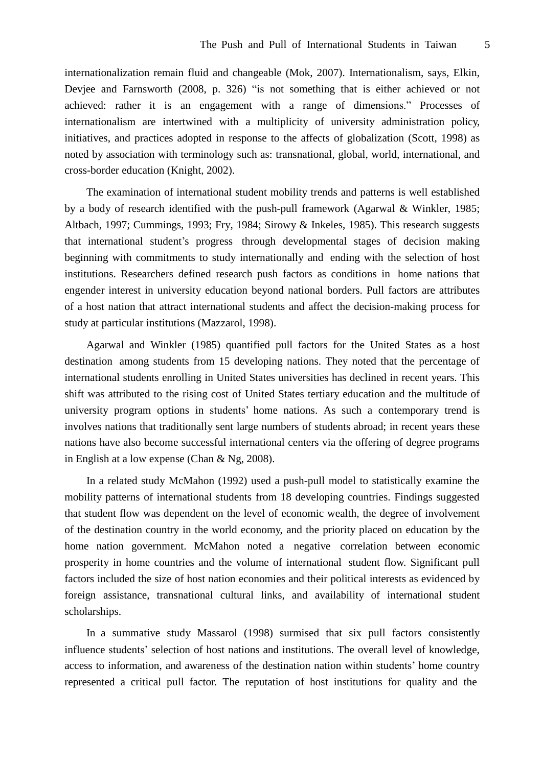internationalization remain fluid and changeable (Mok, 2007). Internationalism, says, Elkin, Deviee and Farnsworth (2008, p. 326) "is not something that is either achieved or not achieved: rather it is an engagement with a range of dimensions." Processes of internationalism are intertwined with a multiplicity of university administration policy, initiatives, and practices adopted in response to the affects of globalization (Scott, 1998) as noted by association with terminology such as: transnational, global, world, international, and cross-border education (Knight, 2002).

The examination of international student mobility trends and patterns is well established by a body of research identified with the push-pull framework (Agarwal & Winkler, 1985; Altbach, 1997; Cummings, 1993; Fry, 1984; Sirowy & Inkeles, 1985). This research suggests that international student's progress through developmental stages of decision making beginning with commitments to study internationally and ending with the selection of host institutions. Researchers defined research push factors as conditions in home nations that engender interest in university education beyond national borders. Pull factors are attributes of a host nation that attract international students and affect the decision-making process for study at particular institutions (Mazzarol, 1998).

Agarwal and Winkler (1985) quantified pull factors for the United States as a host destination among students from 15 developing nations. They noted that the percentage of international students enrolling in United States universities has declined in recent years. This shift was attributed to the rising cost of United States tertiary education and the multitude of university program options in students' home nations. As such a contemporary trend is involves nations that traditionally sent large numbers of students abroad; in recent years these nations have also become successful international centers via the offering of degree programs in English at a low expense (Chan & Ng, 2008).

In a related study McMahon (1992) used a push-pull model to statistically examine the mobility patterns of international students from 18 developing countries. Findings suggested that student flow was dependent on the level of economic wealth, the degree of involvement of the destination country in the world economy, and the priority placed on education by the home nation government. McMahon noted a negative correlation between economic prosperity in home countries and the volume of international student flow. Significant pull factors included the size of host nation economies and their political interests as evidenced by foreign assistance, transnational cultural links, and availability of international student scholarships.

In a summative study Massarol (1998) surmised that six pull factors consistently influence students' selection of host nations and institutions. The overall level of knowledge, access to information, and awareness of the destination nation within students' home country represented a critical pull factor. The reputation of host institutions for quality and the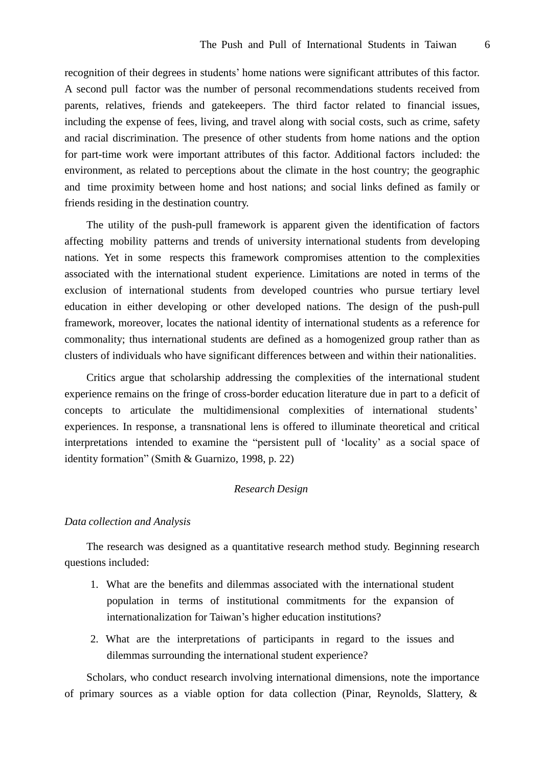recognition of their degrees in students' home nations were significant attributes of this factor. A second pull factor was the number of personal recommendations students received from parents, relatives, friends and gatekeepers. The third factor related to financial issues, including the expense of fees, living, and travel along with social costs, such as crime, safety and racial discrimination. The presence of other students from home nations and the option for part-time work were important attributes of this factor. Additional factors included: the environment, as related to perceptions about the climate in the host country; the geographic and time proximity between home and host nations; and social links defined as family or friends residing in the destination country.

The utility of the push-pull framework is apparent given the identification of factors affecting mobility patterns and trends of university international students from developing nations. Yet in some respects this framework compromises attention to the complexities associated with the international student experience. Limitations are noted in terms of the exclusion of international students from developed countries who pursue tertiary level education in either developing or other developed nations. The design of the push-pull framework, moreover, locates the national identity of international students as a reference for commonality; thus international students are defined as a homogenized group rather than as clusters of individuals who have significant differences between and within their nationalities.

Critics argue that scholarship addressing the complexities of the international student experience remains on the fringe of cross-border education literature due in part to a deficit of concepts to articulate the multidimensional complexities of international students' experiences. In response, a transnational lens is offered to illuminate theoretical and critical interpretations intended to examine the "persistent pull of 'locality'as a social space of identity formation"(Smith & Guarnizo, 1998, p. 22)

## *Research Design*

## *Data collection and Analysis*

The research was designed as a quantitative research method study. Beginning research questions included:

- 1. What are the benefits and dilemmas associated with the international student population in terms of institutional commitments for the expansion of internationalization for Taiwan's higher education institutions?
- 2. What are the interpretations of participants in regard to the issues and dilemmas surrounding the international student experience?

Scholars, who conduct research involving international dimensions, note the importance of primary sources as a viable option for data collection (Pinar, Reynolds, Slattery, &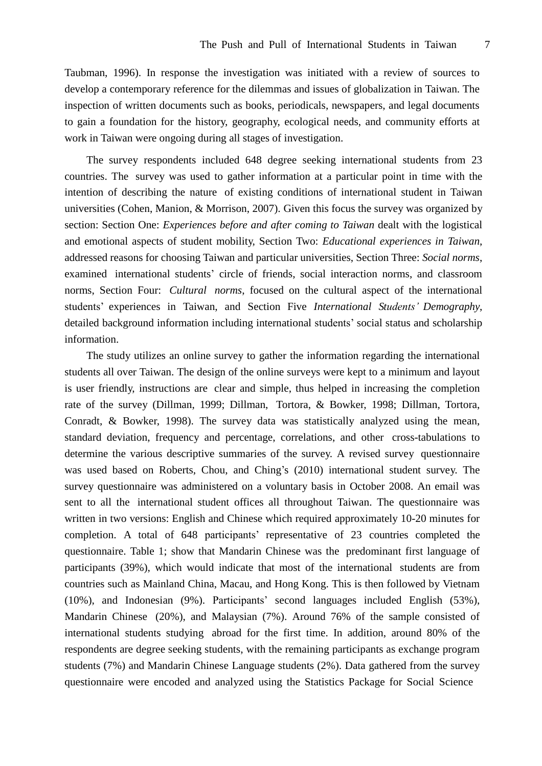Taubman, 1996). In response the investigation was initiated with a review of sources to develop a contemporary reference for the dilemmas and issues of globalization in Taiwan. The inspection of written documents such as books, periodicals, newspapers, and legal documents to gain a foundation for the history, geography, ecological needs, and community efforts at work in Taiwan were ongoing during all stages of investigation.

The survey respondents included 648 degree seeking international students from 23 countries. The survey was used to gather information at a particular point in time with the intention of describing the nature of existing conditions of international student in Taiwan universities (Cohen, Manion, & Morrison, 2007). Given this focus the survey was organized by section: Section One: *Experiences before and after coming to Taiwan* dealt with the logistical and emotional aspects of student mobility, Section Two: *Educational experiences in Taiwan*, addressed reasons for choosing Taiwan and particular universities, Section Three: *Social norms*, examined international students' circle of friends, social interaction norms, and classroom norms, Section Four: *Cultural norms*, focused on the cultural aspect of the international students'experiences in Taiwan, and Section Five *International Students'Demography*, detailed background information including international students' social status and scholarship information.

The study utilizes an online survey to gather the information regarding the international students all over Taiwan. The design of the online surveys were kept to a minimum and layout is user friendly, instructions are clear and simple, thus helped in increasing the completion rate of the survey (Dillman, 1999; Dillman, Tortora, & Bowker, 1998; Dillman, Tortora, Conradt, & Bowker, 1998). The survey data was statistically analyzed using the mean, standard deviation, frequency and percentage, correlations, and other cross-tabulations to determine the various descriptive summaries of the survey. A revised survey questionnaire was used based on Roberts, Chou, and Ching's (2010) international student survey. The survey questionnaire was administered on a voluntary basis in October 2008. An email was sent to all the international student offices all throughout Taiwan. The questionnaire was written in two versions: English and Chinese which required approximately 10-20 minutes for completion. A total of 648 participants' representative of 23 countries completed the questionnaire. Table 1; show that Mandarin Chinese was the predominant first language of participants (39%), which would indicate that most of the international students are from countries such as Mainland China, Macau, and Hong Kong. This is then followed by Vietnam (10%), and Indonesian (9%). Participants'second languages included English (53%), Mandarin Chinese (20%), and Malaysian (7%). Around 76% of the sample consisted of international students studying abroad for the first time. In addition, around 80% of the respondents are degree seeking students, with the remaining participants as exchange program students (7%) and Mandarin Chinese Language students (2%). Data gathered from the survey questionnaire were encoded and analyzed using the Statistics Package for Social Science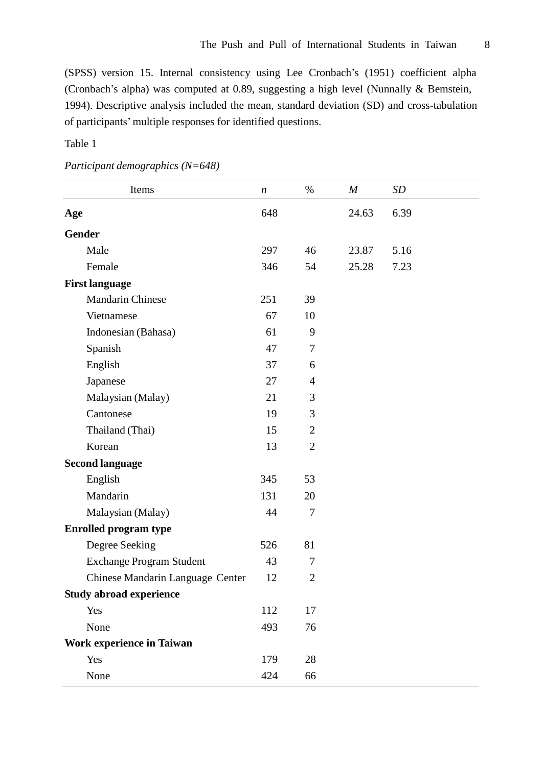(SPSS) version 15. Internal consistency using Lee Cronbach's (1951) coefficient alpha (Cronbach's alpha) was computed at 0.89, suggesting a high level (Nunnally & Bemstein, 1994). Descriptive analysis included the mean, standard deviation (SD) and cross-tabulation of participants'multiple responses for identified questions.

## Table 1

| Items                            | $\boldsymbol{n}$ | $\%$           | $\boldsymbol{M}$ | SD   |
|----------------------------------|------------------|----------------|------------------|------|
| Age                              |                  |                | 24.63            | 6.39 |
| <b>Gender</b>                    |                  |                |                  |      |
| Male                             | 297              | 46             | 23.87            | 5.16 |
| Female                           | 346              | 54             | 25.28            | 7.23 |
| <b>First language</b>            |                  |                |                  |      |
| <b>Mandarin Chinese</b>          | 251              | 39             |                  |      |
| Vietnamese                       | 67               | 10             |                  |      |
| Indonesian (Bahasa)              | 61               | 9              |                  |      |
| Spanish                          | 47               | $\tau$         |                  |      |
| English                          | 37               | 6              |                  |      |
| Japanese                         | 27               | $\overline{4}$ |                  |      |
| Malaysian (Malay)                | 21               | 3              |                  |      |
| Cantonese                        | 19               | 3              |                  |      |
| Thailand (Thai)                  | 15               | $\overline{2}$ |                  |      |
| Korean                           | 13               | $\overline{2}$ |                  |      |
| <b>Second language</b>           |                  |                |                  |      |
| English                          | 345              | 53             |                  |      |
| Mandarin                         | 131              | 20             |                  |      |
| Malaysian (Malay)                | 44               | $\overline{7}$ |                  |      |
| <b>Enrolled program type</b>     |                  |                |                  |      |
| Degree Seeking                   | 526              | 81             |                  |      |
| <b>Exchange Program Student</b>  | 43               | $\tau$         |                  |      |
| Chinese Mandarin Language Center | 12               | $\overline{2}$ |                  |      |
| <b>Study abroad experience</b>   |                  |                |                  |      |
| Yes                              | 112              | 17             |                  |      |
| None                             | 493              | 76             |                  |      |
| <b>Work experience in Taiwan</b> |                  |                |                  |      |
| Yes                              | 179              | 28             |                  |      |
| None                             | 424              | 66             |                  |      |

*Participant demographics (N=648)*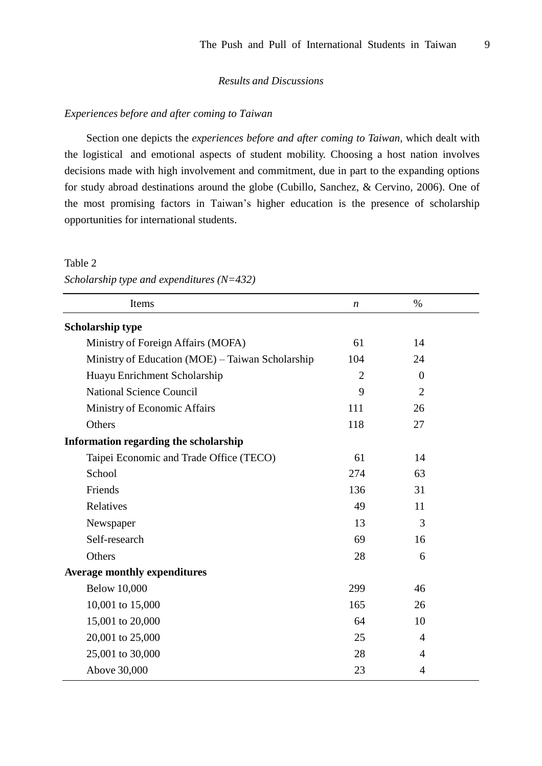## *Results and Discussions*

## *Experiences before and after coming to Taiwan*

Section one depicts the *experiences before and after coming to Taiwan,* which dealt with the logistical and emotional aspects of student mobility. Choosing a host nation involves decisions made with high involvement and commitment, due in part to the expanding options for study abroad destinations around the globe (Cubillo, Sanchez, & Cervino, 2006). One of the most promising factors in Taiwan's higher education is the presence of scholarship opportunities for international students.

#### Table 2

*Scholarship type and expenditures (N=432)*

| Items                                            | $\boldsymbol{n}$ | $\%$           |  |
|--------------------------------------------------|------------------|----------------|--|
| <b>Scholarship type</b>                          |                  |                |  |
| Ministry of Foreign Affairs (MOFA)               | 61               | 14             |  |
| Ministry of Education (MOE) - Taiwan Scholarship | 104              | 24             |  |
| Huayu Enrichment Scholarship                     | $\overline{2}$   | $\overline{0}$ |  |
| <b>National Science Council</b>                  | 9                | $\overline{2}$ |  |
| Ministry of Economic Affairs                     | 111              | 26             |  |
| Others                                           | 118              | 27             |  |
| Information regarding the scholarship            |                  |                |  |
| Taipei Economic and Trade Office (TECO)          | 61               | 14             |  |
| School                                           | 274              | 63             |  |
| Friends                                          | 136              | 31             |  |
| Relatives                                        | 49               | 11             |  |
| Newspaper                                        | 13               | 3              |  |
| Self-research                                    | 69               | 16             |  |
| Others                                           | 28               | 6              |  |
| <b>Average monthly expenditures</b>              |                  |                |  |
| <b>Below 10,000</b>                              | 299              | 46             |  |
| 10,001 to 15,000                                 | 165              | 26             |  |
| 15,001 to 20,000                                 | 64               | 10             |  |
| 20,001 to 25,000                                 | 25               | $\overline{4}$ |  |
| 25,001 to 30,000                                 | 28               | 4              |  |
| Above 30,000                                     | 23               | $\overline{4}$ |  |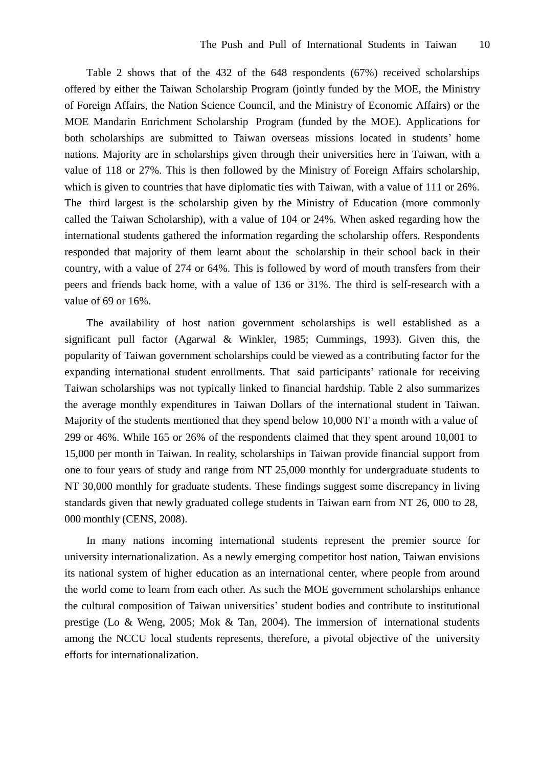Table 2 shows that of the 432 of the 648 respondents (67%) received scholarships offered by either the Taiwan Scholarship Program (jointly funded by the MOE, the Ministry of Foreign Affairs, the Nation Science Council, and the Ministry of Economic Affairs) or the MOE Mandarin Enrichment Scholarship Program (funded by the MOE). Applications for both scholarships are submitted to Taiwan overseas missions located in students' home nations. Majority are in scholarships given through their universities here in Taiwan, with a value of 118 or 27%. This is then followed by the Ministry of Foreign Affairs scholarship, which is given to countries that have diplomatic ties with Taiwan, with a value of 111 or 26%. The third largest is the scholarship given by the Ministry of Education (more commonly called the Taiwan Scholarship), with a value of 104 or 24%. When asked regarding how the international students gathered the information regarding the scholarship offers. Respondents responded that majority of them learnt about the scholarship in their school back in their country, with a value of 274 or 64%. This is followed by word of mouth transfers from their peers and friends back home, with a value of 136 or 31%. The third is self-research with a value of 69 or 16%.

The availability of host nation government scholarships is well established as a significant pull factor (Agarwal & Winkler, 1985; Cummings, 1993). Given this, the popularity of Taiwan government scholarships could be viewed as a contributing factor for the expanding international student enrollments. That said participants' rationale for receiving Taiwan scholarships was not typically linked to financial hardship. Table 2 also summarizes the average monthly expenditures in Taiwan Dollars of the international student in Taiwan. Majority of the students mentioned that they spend below 10,000 NT a month with a value of 299 or 46%. While 165 or 26% of the respondents claimed that they spent around 10,001 to 15,000 per month in Taiwan. In reality, scholarships in Taiwan provide financial support from one to four years of study and range from NT 25,000 monthly for undergraduate students to NT 30,000 monthly for graduate students. These findings suggest some discrepancy in living standards given that newly graduated college students in Taiwan earn from NT 26, 000 to 28, 000 monthly (CENS, 2008).

In many nations incoming international students represent the premier source for university internationalization. As a newly emerging competitor host nation, Taiwan envisions its national system of higher education as an international center, where people from around the world come to learn from each other. As such the MOE government scholarships enhance the cultural composition of Taiwan universities'student bodies and contribute to institutional prestige (Lo & Weng, 2005; Mok & Tan, 2004). The immersion of international students among the NCCU local students represents, therefore, a pivotal objective of the university efforts for internationalization.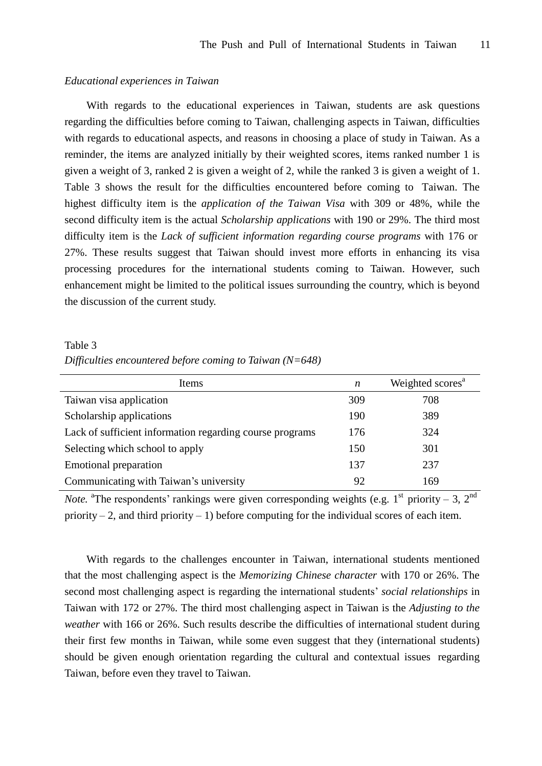### *Educational experiences in Taiwan*

With regards to the educational experiences in Taiwan, students are ask questions regarding the difficulties before coming to Taiwan, challenging aspects in Taiwan, difficulties with regards to educational aspects, and reasons in choosing a place of study in Taiwan. As a reminder, the items are analyzed initially by their weighted scores, items ranked number 1 is given a weight of 3, ranked 2 is given a weight of 2, while the ranked 3 is given a weight of 1. Table 3 shows the result for the difficulties encountered before coming to Taiwan. The highest difficulty item is the *application of the Taiwan Visa* with 309 or 48%, while the second difficulty item is the actual *Scholarship applications* with 190 or 29%. The third most difficulty item is the *Lack of sufficient information regarding course programs* with 176 or 27%. These results suggest that Taiwan should invest more efforts in enhancing its visa processing procedures for the international students coming to Taiwan. However, such enhancement might be limited to the political issues surrounding the country, which is beyond the discussion of the current study.

#### Table 3

#### *Difficulties encountered before coming to Taiwan (N=648)*

| <b>Items</b>                                             | n   | Weighted scores <sup>a</sup> |
|----------------------------------------------------------|-----|------------------------------|
| Taiwan visa application                                  | 309 | 708                          |
| Scholarship applications                                 | 190 | 389                          |
| Lack of sufficient information regarding course programs | 176 | 324                          |
| Selecting which school to apply                          | 150 | 301                          |
| Emotional preparation                                    | 137 | 237                          |
| Communicating with Taiwan's university                   | 92  | 169                          |

*Note*. <sup>a</sup>The respondents' rankings were given corresponding weights (e.g.  $1^{st}$  priority – 3,  $2^{nd}$ priority – 2, and third priority – 1) before computing for the individual scores of each item.

With regards to the challenges encounter in Taiwan, international students mentioned that the most challenging aspect is the *Memorizing Chinese character* with 170 or 26%. The second most challenging aspect is regarding the international students'*social relationships* in Taiwan with 172 or 27%. The third most challenging aspect in Taiwan is the *Adjusting to the weather* with 166 or 26%. Such results describe the difficulties of international student during their first few months in Taiwan, while some even suggest that they (international students) should be given enough orientation regarding the cultural and contextual issues regarding Taiwan, before even they travel to Taiwan.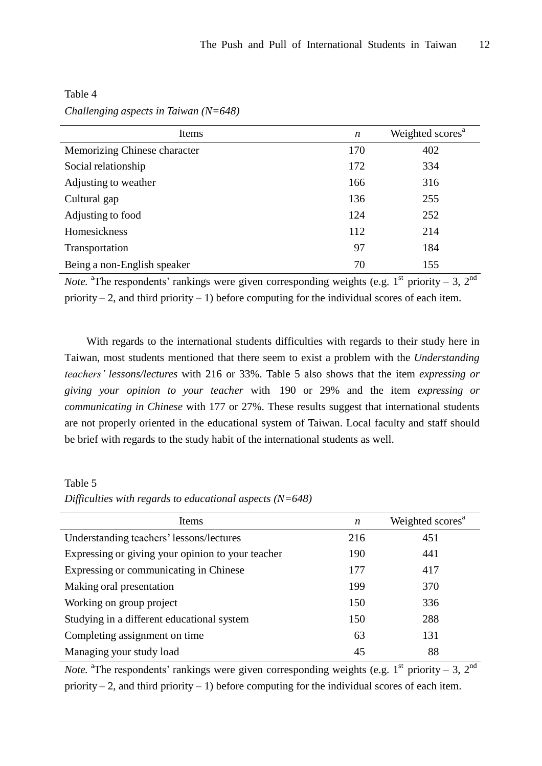| Items                        | n   | Weighted scores <sup>a</sup> |
|------------------------------|-----|------------------------------|
| Memorizing Chinese character | 170 | 402                          |
| Social relationship          | 172 | 334                          |
| Adjusting to weather         | 166 | 316                          |
| Cultural gap                 | 136 | 255                          |
| Adjusting to food            | 124 | 252                          |
| Homesickness                 | 112 | 214                          |
| Transportation               | 97  | 184                          |
| Being a non-English speaker  | 70  | 155                          |

Table 4 *Challenging aspects in Taiwan (N=648)*

*Note*. <sup>a</sup>The respondents' rankings were given corresponding weights (e.g.  $1^{st}$  priority – 3,  $2^{nd}$ priority – 2, and third priority – 1) before computing for the individual scores of each item.

With regards to the international students difficulties with regards to their study here in Taiwan, most students mentioned that there seem to exist a problem with the *Understanding teachers'lessons/lectures* with 216 or 33%. Table 5 also shows that the item *expressing or giving your opinion to your teacher* with 190 or 29% and the item *expressing or communicating in Chinese* with 177 or 27%. These results suggest that international students are not properly oriented in the educational system of Taiwan. Local faculty and staff should be brief with regards to the study habit of the international students as well.

Table 5

*Difficulties with regards to educational aspects (N=648)*

| Items                                             | $\boldsymbol{n}$ | Weighted scores <sup>a</sup> |
|---------------------------------------------------|------------------|------------------------------|
| Understanding teachers' lessons/lectures          | 216              | 451                          |
| Expressing or giving your opinion to your teacher | 190              | 441                          |
| Expressing or communicating in Chinese            | 177              | 417                          |
| Making oral presentation                          | 199              | 370                          |
| Working on group project                          | 150              | 336                          |
| Studying in a different educational system        | 150              | 288                          |
| Completing assignment on time                     | 63               | 131                          |
| Managing your study load                          | 45               | 88                           |

*Note*. <sup>a</sup>The respondents' rankings were given corresponding weights (e.g.  $1^{st}$  priority – 3,  $2^{nd}$ priority – 2, and third priority – 1) before computing for the individual scores of each item.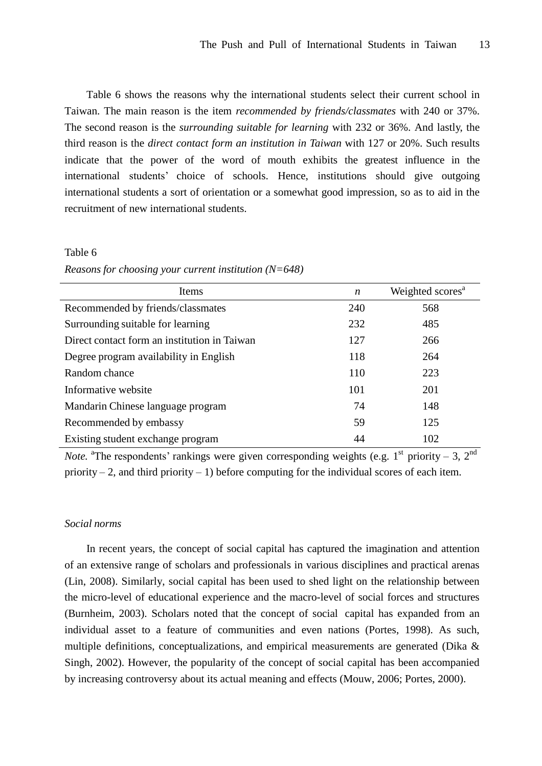Table 6 shows the reasons why the international students select their current school in Taiwan. The main reason is the item *recommended by friends/classmates* with 240 or 37%. The second reason is the *surrounding suitable for learning* with 232 or 36%. And lastly, the third reason is the *direct contact form an institution in Taiwan* with 127 or 20%. Such results indicate that the power of the word of mouth exhibits the greatest influence in the international students' choice of schools. Hence, institutions should give outgoing international students a sort of orientation or a somewhat good impression, so as to aid in the recruitment of new international students.

#### Table 6

*Reasons for choosing your current institution (N=648)*

| Items                                        | $\boldsymbol{n}$ | Weighted scores <sup>a</sup> |
|----------------------------------------------|------------------|------------------------------|
| Recommended by friends/classmates            | 240              | 568                          |
| Surrounding suitable for learning            | 232              | 485                          |
| Direct contact form an institution in Taiwan | 127              | 266                          |
| Degree program availability in English       | 118              | 264                          |
| Random chance                                | 110              | 223                          |
| Informative website                          | 101              | 201                          |
| Mandarin Chinese language program            | 74               | 148                          |
| Recommended by embassy                       | 59               | 125                          |
| Existing student exchange program            | 44               | 102                          |

*Note*. <sup>a</sup>The respondents' rankings were given corresponding weights (e.g.  $1^{st}$  priority – 3,  $2^{nd}$ priority – 2, and third priority – 1) before computing for the individual scores of each item.

## *Social norms*

In recent years, the concept of social capital has captured the imagination and attention of an extensive range of scholars and professionals in various disciplines and practical arenas (Lin, 2008). Similarly, social capital has been used to shed light on the relationship between the micro-level of educational experience and the macro-level of social forces and structures (Burnheim, 2003). Scholars noted that the concept of social capital has expanded from an individual asset to a feature of communities and even nations (Portes, 1998). As such, multiple definitions, conceptualizations, and empirical measurements are generated (Dika & Singh, 2002). However, the popularity of the concept of social capital has been accompanied by increasing controversy about its actual meaning and effects (Mouw, 2006; Portes, 2000).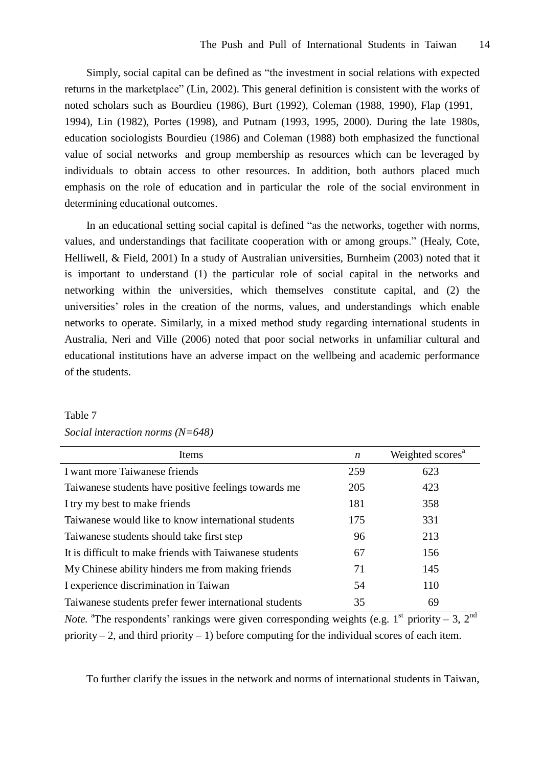Simply, social capital can be defined as "the investment in social relations with expected returns in the marketplace"(Lin, 2002). This general definition is consistent with the works of noted scholars such as Bourdieu (1986), Burt (1992), Coleman (1988, 1990), Flap (1991, 1994), Lin (1982), Portes (1998), and Putnam (1993, 1995, 2000). During the late 1980s, education sociologists Bourdieu (1986) and Coleman (1988) both emphasized the functional value of social networks and group membership as resources which can be leveraged by individuals to obtain access to other resources. In addition, both authors placed much emphasis on the role of education and in particular the role of the social environment in determining educational outcomes.

In an educational setting social capital is defined "as the networks, together with norms, values, and understandings that facilitate cooperation with or among groups."(Healy, Cote, Helliwell, & Field, 2001) In a study of Australian universities, Burnheim (2003) noted that it is important to understand (1) the particular role of social capital in the networks and networking within the universities, which themselves constitute capital, and (2) the universities' roles in the creation of the norms, values, and understandings which enable networks to operate. Similarly, in a mixed method study regarding international students in Australia, Neri and Ville (2006) noted that poor social networks in unfamiliar cultural and educational institutions have an adverse impact on the wellbeing and academic performance of the students.

| Items                                                   | $\boldsymbol{n}$ | Weighted scores <sup>a</sup> |
|---------------------------------------------------------|------------------|------------------------------|
| I want more Taiwanese friends                           | 259              | 623                          |
| Taiwanese students have positive feelings towards me    | 205              | 423                          |
| I try my best to make friends                           | 181              | 358                          |
| Taiwanese would like to know international students     | 175              | 331                          |
| Taiwanese students should take first step               | 96               | 213                          |
| It is difficult to make friends with Taiwanese students | 67               | 156                          |
| My Chinese ability hinders me from making friends       | 71               | 145                          |
| I experience discrimination in Taiwan                   | 54               | 110                          |
| Taiwanese students prefer fewer international students  | 35               | 69                           |

## Table 7 *Social interaction norms (N=648)*

*Note*. <sup>a</sup>The respondents' rankings were given corresponding weights (e.g.  $1^{st}$  priority – 3,  $2^{nd}$ priority – 2, and third priority – 1) before computing for the individual scores of each item.

To further clarify the issues in the network and norms of international students in Taiwan,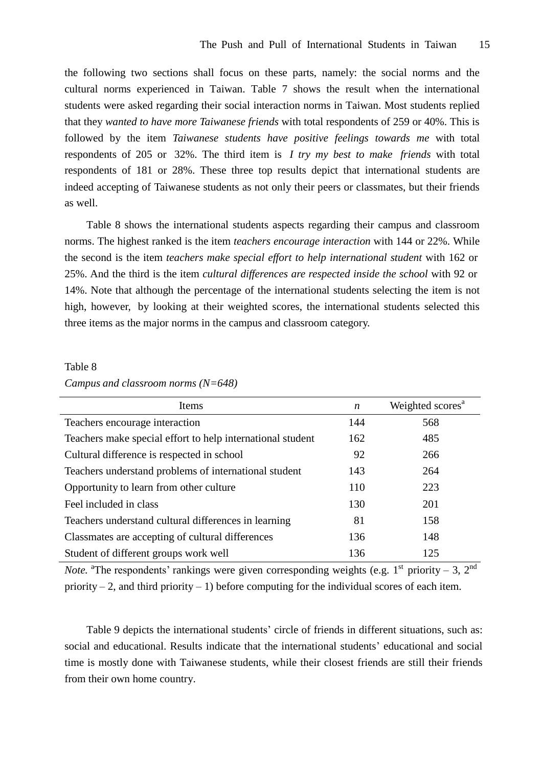the following two sections shall focus on these parts, namely: the social norms and the cultural norms experienced in Taiwan. Table 7 shows the result when the international students were asked regarding their social interaction norms in Taiwan. Most students replied that they *wanted to have more Taiwanese friends* with total respondents of 259 or 40%. This is followed by the item *Taiwanese students have positive feelings towards me* with total respondents of 205 or 32%. The third item is *I try my best to make friends* with total respondents of 181 or 28%. These three top results depict that international students are indeed accepting of Taiwanese students as not only their peers or classmates, but their friends as well.

Table 8 shows the international students aspects regarding their campus and classroom norms. The highest ranked is the item *teachers encourage interaction* with 144 or 22%. While the second is the item *teachers make special effort to help international student* with 162 or 25%. And the third is the item *cultural differences are respected inside the school* with 92 or 14%. Note that although the percentage of the international students selecting the item is not high, however, by looking at their weighted scores, the international students selected this three items as the major norms in the campus and classroom category.

## Table 8

*Campus and classroom norms (N=648)*

| Items                                                      | $\boldsymbol{n}$ | Weighted scores <sup>a</sup> |
|------------------------------------------------------------|------------------|------------------------------|
| Teachers encourage interaction                             | 144              | 568                          |
| Teachers make special effort to help international student | 162              | 485                          |
| Cultural difference is respected in school                 | 92               | 266                          |
| Teachers understand problems of international student      | 143              | 264                          |
| Opportunity to learn from other culture                    | 110              | 223                          |
| Feel included in class                                     | 130              | 201                          |
| Teachers understand cultural differences in learning       | 81               | 158                          |
| Classmates are accepting of cultural differences           | 136              | 148                          |
| Student of different groups work well                      | 136              | 125                          |

*Note*. <sup>a</sup>The respondents' rankings were given corresponding weights (e.g.  $1^{st}$  priority – 3,  $2^{nd}$ priority – 2, and third priority – 1) before computing for the individual scores of each item.

Table 9 depicts the international students' circle of friends in different situations, such as: social and educational. Results indicate that the international students'educational and social time is mostly done with Taiwanese students, while their closest friends are still their friends from their own home country.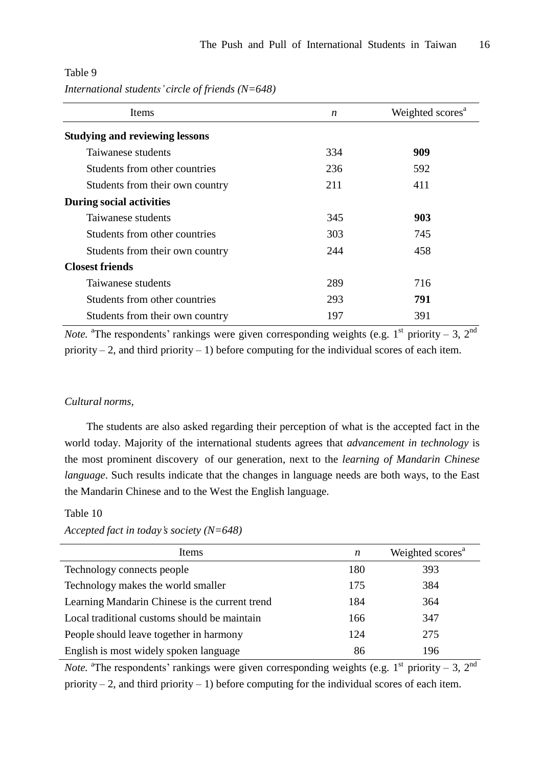| Items                                 | $\boldsymbol{n}$ | Weighted scores <sup>a</sup> |
|---------------------------------------|------------------|------------------------------|
| <b>Studying and reviewing lessons</b> |                  |                              |
| Taiwanese students                    | 334              | 909                          |
| Students from other countries         | 236              | 592                          |
| Students from their own country       | 211              | 411                          |
| <b>During social activities</b>       |                  |                              |
| Taiwanese students                    | 345              | 903                          |
| Students from other countries         | 303              | 745                          |
| Students from their own country       | 244              | 458                          |
| <b>Closest friends</b>                |                  |                              |
| Taiwanese students                    | 289              | 716                          |
| Students from other countries         | 293              | 791                          |
| Students from their own country       | 197              | 391                          |

## Table 9 *International students'circle of friends (N=648)*

*Note*. <sup>a</sup>The respondents' rankings were given corresponding weights (e.g.  $1^{st}$  priority – 3,  $2^{nd}$ priority – 2, and third priority – 1) before computing for the individual scores of each item.

## *Cultural norms,*

The students are also asked regarding their perception of what is the accepted fact in the world today. Majority of the international students agrees that *advancement in technology* is the most prominent discovery of our generation, next to the *learning of Mandarin Chinese language*. Such results indicate that the changes in language needs are both ways, to the East the Mandarin Chinese and to the West the English language.

## Table 10

## *Accepted fact in today's society (N=648)*

| <b>Items</b>                                   | n   | Weighted scores <sup>a</sup> |
|------------------------------------------------|-----|------------------------------|
| Technology connects people                     | 180 | 393                          |
| Technology makes the world smaller             | 175 | 384                          |
| Learning Mandarin Chinese is the current trend | 184 | 364                          |
| Local traditional customs should be maintain   | 166 | 347                          |
| People should leave together in harmony        | 124 | 275                          |
| English is most widely spoken language         | 86  | 196                          |

*Note*. <sup>a</sup>The respondents' rankings were given corresponding weights (e.g.  $1^{st}$  priority – 3,  $2^{nd}$ priority – 2, and third priority – 1) before computing for the individual scores of each item.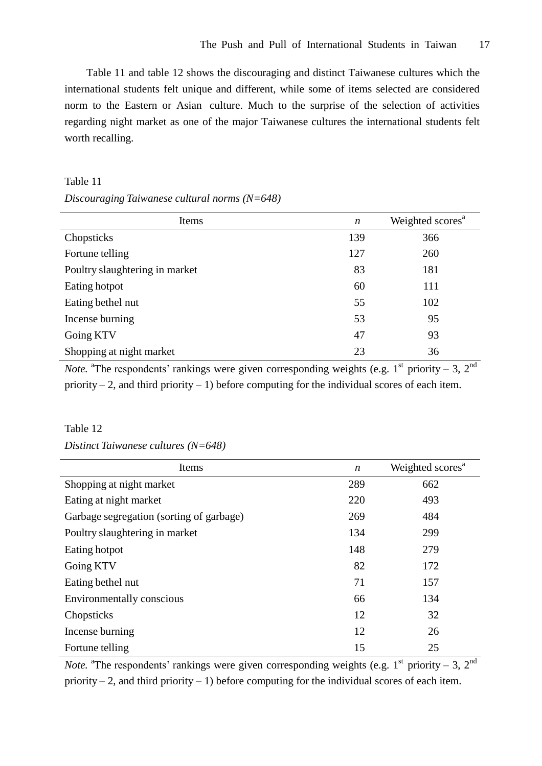Table 11 and table 12 shows the discouraging and distinct Taiwanese cultures which the international students felt unique and different, while some of items selected are considered norm to the Eastern or Asian culture. Much to the surprise of the selection of activities regarding night market as one of the major Taiwanese cultures the international students felt worth recalling.

## Table 11

#### *Discouraging Taiwanese cultural norms (N=648)*

| Items                          | $\boldsymbol{n}$ | Weighted scores <sup>a</sup> |
|--------------------------------|------------------|------------------------------|
| Chopsticks                     | 139              | 366                          |
| Fortune telling                | 127              | 260                          |
| Poultry slaughtering in market | 83               | 181                          |
| Eating hotpot                  | 60               | 111                          |
| Eating bethel nut              | 55               | 102                          |
| Incense burning                | 53               | 95                           |
| Going KTV                      | 47               | 93                           |
| Shopping at night market       | 23               | 36                           |

*Note*. <sup>a</sup>The respondents' rankings were given corresponding weights (e.g.  $1^{st}$  priority – 3,  $2^{nd}$ priority – 2, and third priority – 1) before computing for the individual scores of each item.

## Table 12

*Distinct Taiwanese cultures (N=648)*

| Items                                    | $\boldsymbol{n}$ | Weighted scores <sup>a</sup> |
|------------------------------------------|------------------|------------------------------|
| Shopping at night market                 | 289              | 662                          |
| Eating at night market                   | 220              | 493                          |
| Garbage segregation (sorting of garbage) | 269              | 484                          |
| Poultry slaughtering in market           | 134              | 299                          |
| Eating hotpot                            | 148              | 279                          |
| Going KTV                                | 82               | 172                          |
| Eating bethel nut                        | 71               | 157                          |
| Environmentally conscious                | 66               | 134                          |
| Chopsticks                               | 12               | 32                           |
| Incense burning                          | 12               | 26                           |
| Fortune telling                          | 15               | 25                           |

*Note*. <sup>a</sup>The respondents' rankings were given corresponding weights (e.g.  $1^{st}$  priority – 3,  $2^{nd}$ priority – 2, and third priority – 1) before computing for the individual scores of each item.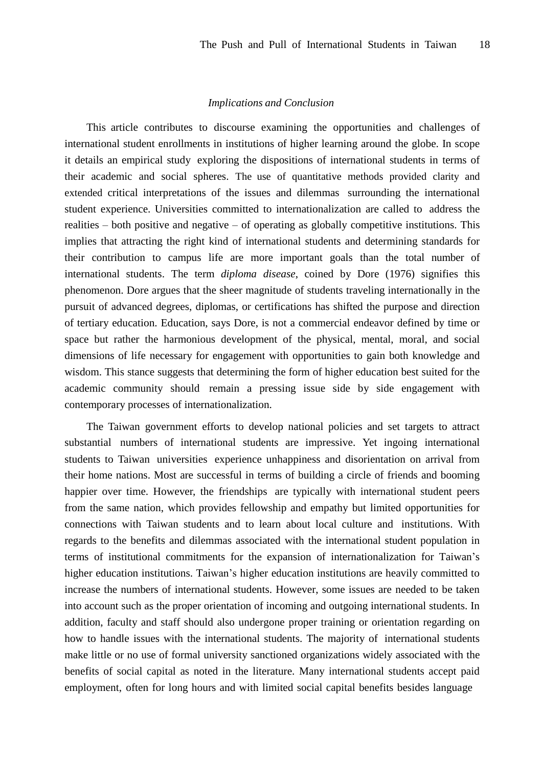#### *Implications and Conclusion*

This article contributes to discourse examining the opportunities and challenges of international student enrollments in institutions of higher learning around the globe. In scope it details an empirical study exploring the dispositions of international students in terms of their academic and social spheres. The use of quantitative methods provided clarity and extended critical interpretations of the issues and dilemmas surrounding the international student experience. Universities committed to internationalization are called to address the realities – both positive and negative – of operating as globally competitive institutions. This implies that attracting the right kind of international students and determining standards for their contribution to campus life are more important goals than the total number of international students. The term *diploma disease*, coined by Dore (1976) signifies this phenomenon. Dore argues that the sheer magnitude of students traveling internationally in the pursuit of advanced degrees, diplomas, or certifications has shifted the purpose and direction of tertiary education. Education, says Dore, is not a commercial endeavor defined by time or space but rather the harmonious development of the physical, mental, moral, and social dimensions of life necessary for engagement with opportunities to gain both knowledge and wisdom. This stance suggests that determining the form of higher education best suited for the academic community should remain a pressing issue side by side engagement with contemporary processes of internationalization.

The Taiwan government efforts to develop national policies and set targets to attract substantial numbers of international students are impressive. Yet ingoing international students to Taiwan universities experience unhappiness and disorientation on arrival from their home nations. Most are successful in terms of building a circle of friends and booming happier over time. However, the friendships are typically with international student peers from the same nation, which provides fellowship and empathy but limited opportunities for connections with Taiwan students and to learn about local culture and institutions. With regards to the benefits and dilemmas associated with the international student population in terms of institutional commitments for the expansion of internationalization for Taiwan's higher education institutions. Taiwan's higher education institutions are heavily committed to increase the numbers of international students. However, some issues are needed to be taken into account such as the proper orientation of incoming and outgoing international students. In addition, faculty and staff should also undergone proper training or orientation regarding on how to handle issues with the international students. The majority of international students make little or no use of formal university sanctioned organizations widely associated with the benefits of social capital as noted in the literature. Many international students accept paid employment, often for long hours and with limited social capital benefits besides language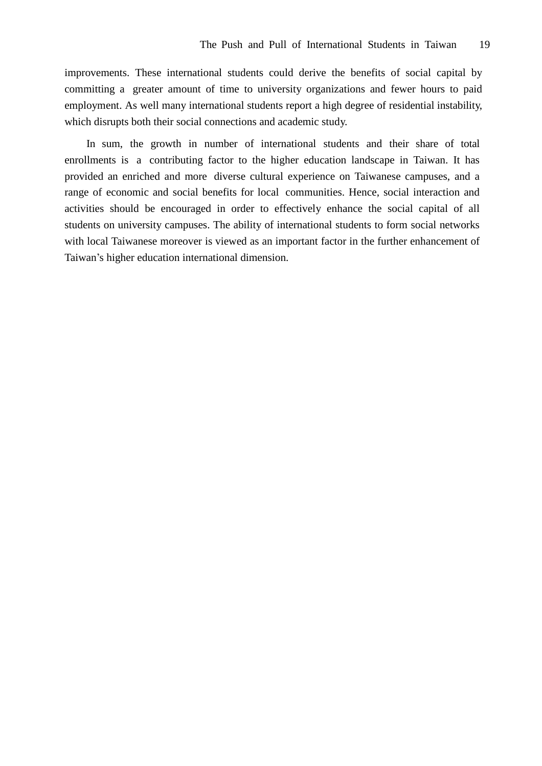improvements. These international students could derive the benefits of social capital by committing a greater amount of time to university organizations and fewer hours to paid employment. As well many international students report a high degree of residential instability, which disrupts both their social connections and academic study.

In sum, the growth in number of international students and their share of total enrollments is a contributing factor to the higher education landscape in Taiwan. It has provided an enriched and more diverse cultural experience on Taiwanese campuses, and a range of economic and social benefits for local communities. Hence, social interaction and activities should be encouraged in order to effectively enhance the social capital of all students on university campuses. The ability of international students to form social networks with local Taiwanese moreover is viewed as an important factor in the further enhancement of Taiwan's higher education international dimension.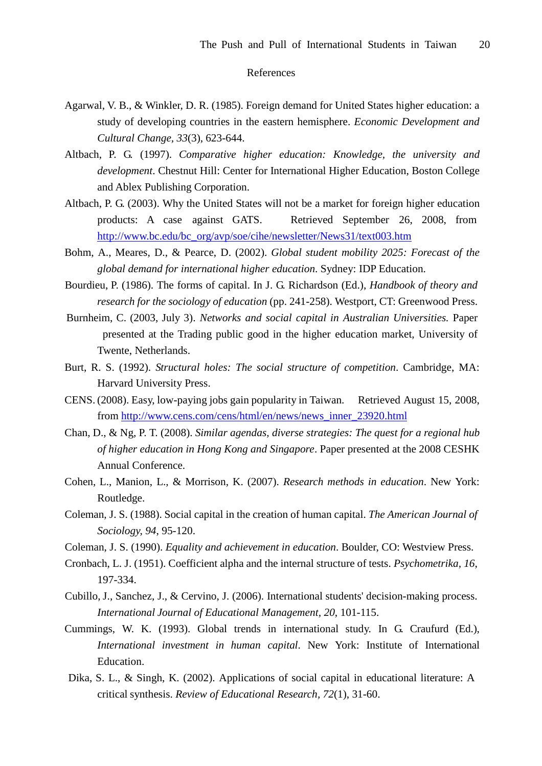### References

- Agarwal, V. B., & Winkler, D. R. (1985). Foreign demand for United States higher education: a study of developing countries in the eastern hemisphere. *Economic Development and Cultural Change, 33*(3), 623-644.
- Altbach, P. G. (1997). *Comparative higher education: Knowledge, the university and development*. Chestnut Hill: Center for International Higher Education, Boston College and Ablex Publishing Corporation.
- Altbach, P. G. (2003). Why the United States will not be a market for foreign higher education products: A case against GATS. Retrieved September 26, 2008, from http://www.bc.edu/bc\_org/avp/soe/cihe/newsletter/News31/text003.htm
- Bohm, A., Meares, D., & Pearce, D. (2002). *Global student mobility 2025: Forecast of the global demand for international higher education*. Sydney: IDP Education.
- Bourdieu, P. (1986). The forms of capital. In J. G. Richardson (Ed.), *Handbook of theory and research for the sociology of education* (pp. 241-258). Westport, CT: Greenwood Press.
- Burnheim, C. (2003, July 3). *Networks and social capital in Australian Universities.* Paper presented at the Trading public good in the higher education market, University of Twente, Netherlands.
- Burt, R. S. (1992). *Structural holes: The social structure of competition*. Cambridge, MA: Harvard University Press.
- CENS. (2008). Easy, low-paying jobs gain popularity in Taiwan. Retrieved August 15, 2008, from http://www.cens.com/cens/html/en/news/news\_inner\_23920.html
- Chan, D., & Ng, P. T. (2008). *Similar agendas, diverse strategies: The quest for a regional hub of higher education in Hong Kong and Singapore*. Paper presented at the 2008 CESHK Annual Conference.
- Cohen, L., Manion, L., & Morrison, K. (2007). *Research methods in education*. New York: Routledge.
- Coleman, J. S. (1988). Social capital in the creation of human capital. *The American Journal of Sociology, 94*, 95-120.
- Coleman, J. S. (1990). *Equality and achievement in education*. Boulder, CO: Westview Press.
- Cronbach, L. J. (1951). Coefficient alpha and the internal structure of tests. *Psychometrika, 16*, 197-334.
- Cubillo, J., Sanchez, J., & Cervino, J. (2006). International students' decision-making process. *International Journal of Educational Management, 20*, 101-115.
- Cummings, W. K. (1993). Global trends in international study. In G. Craufurd (Ed.), *International investment in human capital*. New York: Institute of International Education.
- Dika, S. L., & Singh, K. (2002). Applications of social capital in educational literature: A critical synthesis. *Review of Educational Research, 72*(1), 31-60.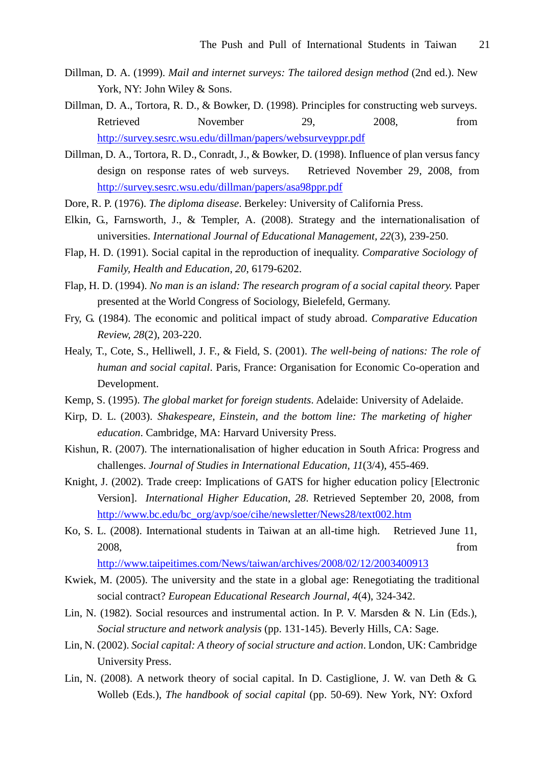- Dillman, D. A. (1999). *Mail and internet surveys: The tailored design method* (2nd ed.). New York, NY: John Wiley & Sons.
- Dillman, D. A., Tortora, R. D., & Bowker, D. (1998). Principles for constructing web surveys. Retrieved November 29, 2008, from http://survey.sesrc.wsu.edu/dillman/papers/websurveyppr.pdf
- Dillman, D. A., Tortora, R. D., Conradt, J., & Bowker, D. (1998). Influence of plan versus fancy design on response rates of web surveys. Retrieved November 29, 2008, from http://survey.sesrc.wsu.edu/dillman/papers/asa98ppr.pdf
- Dore, R. P. (1976). *The diploma disease*. Berkeley: University of California Press.
- Elkin, G., Farnsworth, J., & Templer, A. (2008). Strategy and the internationalisation of universities. *International Journal of Educational Management, 22*(3), 239-250.
- Flap, H. D. (1991). Social capital in the reproduction of inequality. *Comparative Sociology of Family, Health and Education, 20*, 6179-6202.
- Flap, H. D. (1994). *No man is an island: The research program of a social capital theory.* Paper presented at the World Congress of Sociology, Bielefeld, Germany.
- Fry, G. (1984). The economic and political impact of study abroad. *Comparative Education Review, 28*(2), 203-220.
- Healy, T., Cote, S., Helliwell, J. F., & Field, S. (2001). *The well-being of nations: The role of human and social capital*. Paris, France: Organisation for Economic Co-operation and Development.
- Kemp, S. (1995). *The global market for foreign students*. Adelaide: University of Adelaide.
- Kirp, D. L. (2003). *Shakespeare, Einstein, and the bottom line: The marketing of higher education*. Cambridge, MA: Harvard University Press.
- Kishun, R. (2007). The internationalisation of higher education in South Africa: Progress and challenges. *Journal of Studies in International Education, 11*(3/4), 455-469.
- Knight, J. (2002). Trade creep: Implications of GATS for higher education policy [Electronic Version]. *International Higher Education*, *28*. Retrieved September 20, 2008, from http://www.bc.edu/bc\_org/avp/soe/cihe/newsletter/News28/text002.htm
- Ko, S. L. (2008). International students in Taiwan at an all-time high. Retrieved June 11, 2008, from

http://www.taipeitimes.com/News/taiwan/archives/2008/02/12/2003400913

- Kwiek, M. (2005). The university and the state in a global age: Renegotiating the traditional social contract? *European Educational Research Journal, 4*(4), 324-342.
- Lin, N. (1982). Social resources and instrumental action. In P. V. Marsden & N. Lin (Eds.), *Social structure and network analysis* (pp. 131-145). Beverly Hills, CA: Sage.
- Lin, N. (2002). *Social capital: A theory of social structure and action*. London, UK: Cambridge University Press.
- Lin, N. (2008). A network theory of social capital. In D. Castiglione, J. W. van Deth & G. Wolleb (Eds.), *The handbook of social capital* (pp. 50-69). New York, NY: Oxford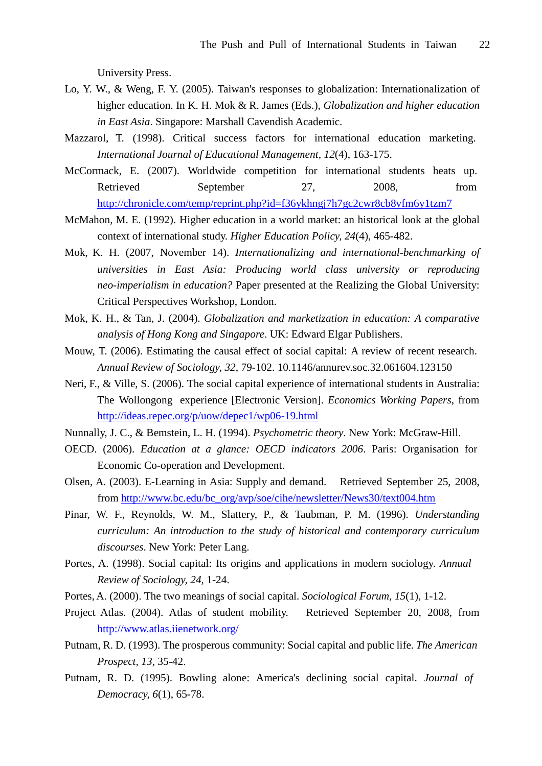University Press.

- Lo, Y. W., & Weng, F. Y. (2005). Taiwan's responses to globalization: Internationalization of higher education. In K. H. Mok & R. James (Eds.), *Globalization and higher education in East Asia*. Singapore: Marshall Cavendish Academic.
- Mazzarol, T. (1998). Critical success factors for international education marketing. *International Journal of Educational Management, 12*(4), 163-175.
- McCormack, E. (2007). Worldwide competition for international students heats up. Retrieved September 27, 2008, from http://chronicle.com/temp/reprint.php?id=f36ykhngj7h7gc2cwr8cb8vfm6y1tzm7
- McMahon, M. E. (1992). Higher education in a world market: an historical look at the global context of international study. *Higher Education Policy, 24*(4), 465-482.
- Mok, K. H. (2007, November 14). *Internationalizing and international-benchmarking of universities in East Asia: Producing world class university or reproducing neo-imperialism in education?* Paper presented at the Realizing the Global University: Critical Perspectives Workshop, London.
- Mok, K. H., & Tan, J. (2004). *Globalization and marketization in education: A comparative analysis of Hong Kong and Singapore*. UK: Edward Elgar Publishers.
- Mouw, T. (2006). Estimating the causal effect of social capital: A review of recent research. *Annual Review of Sociology, 32*, 79-102. 10.1146/annurev.soc.32.061604.123150
- Neri, F., & Ville, S. (2006). The social capital experience of international students in Australia: The Wollongong experience [Electronic Version]. *Economics Working Papers*, from http://ideas.repec.org/p/uow/depec1/wp06-19.html
- Nunnally, J. C., & Bemstein, L. H. (1994). *Psychometric theory*. New York: McGraw-Hill.
- OECD. (2006). *Education at a glance: OECD indicators 2006*. Paris: Organisation for Economic Co-operation and Development.
- Olsen, A. (2003). E-Learning in Asia: Supply and demand. Retrieved September 25, 2008, from http://www.bc.edu/bc\_org/avp/soe/cihe/newsletter/News30/text004.htm
- Pinar, W. F., Reynolds, W. M., Slattery, P., & Taubman, P. M. (1996). *Understanding curriculum: An introduction to the study of historical and contemporary curriculum discourses*. New York: Peter Lang.
- Portes, A. (1998). Social capital: Its origins and applications in modern sociology. *Annual Review of Sociology, 24*, 1-24.
- Portes, A. (2000). The two meanings of social capital. *Sociological Forum, 15*(1), 1-12.
- Project Atlas. (2004). Atlas of student mobility. Retrieved September 20, 2008, from http://www.atlas.iienetwork.org/
- Putnam, R. D. (1993). The prosperous community: Social capital and public life. *The American Prospect, 13*, 35-42.
- Putnam, R. D. (1995). Bowling alone: America's declining social capital. *Journal of Democracy, 6*(1), 65-78.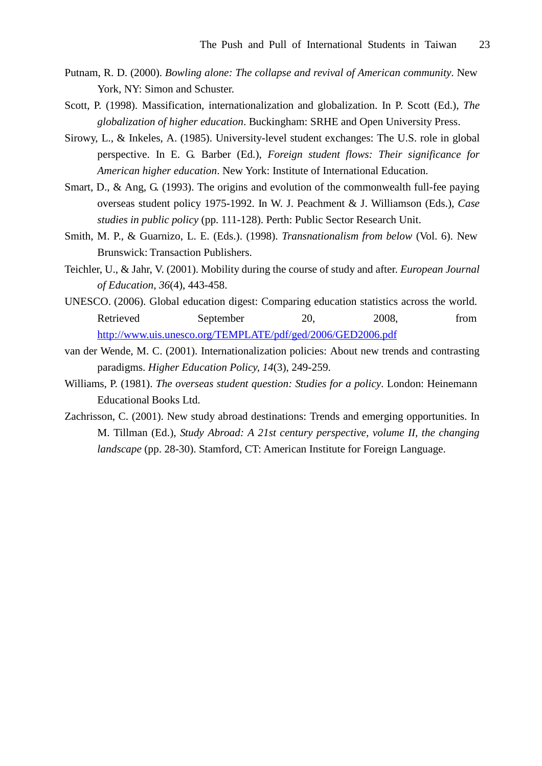- Putnam, R. D. (2000). *Bowling alone: The collapse and revival of American community*. New York, NY: Simon and Schuster.
- Scott, P. (1998). Massification, internationalization and globalization. In P. Scott (Ed.), *The globalization of higher education*. Buckingham: SRHE and Open University Press.
- Sirowy, L., & Inkeles, A. (1985). University-level student exchanges: The U.S. role in global perspective. In E. G. Barber (Ed.), *Foreign student flows: Their significance for American higher education*. New York: Institute of International Education.
- Smart, D., & Ang, G. (1993). The origins and evolution of the commonwealth full-fee paying overseas student policy 1975-1992. In W. J. Peachment & J. Williamson (Eds.), *Case studies in public policy* (pp. 111-128). Perth: Public Sector Research Unit.
- Smith, M. P., & Guarnizo, L. E. (Eds.). (1998). *Transnationalism from below* (Vol. 6). New Brunswick: Transaction Publishers.
- Teichler, U., & Jahr, V. (2001). Mobility during the course of study and after. *European Journal of Education, 36*(4), 443-458.
- UNESCO. (2006). Global education digest: Comparing education statistics across the world. Retrieved September 20, 2008, from http://www.uis.unesco.org/TEMPLATE/pdf/ged/2006/GED2006.pdf
- van der Wende, M. C. (2001). Internationalization policies: About new trends and contrasting paradigms. *Higher Education Policy, 14*(3), 249-259.
- Williams, P. (1981). *The overseas student question: Studies for a policy*. London: Heinemann Educational Books Ltd.
- Zachrisson, C. (2001). New study abroad destinations: Trends and emerging opportunities. In M. Tillman (Ed.), *Study Abroad: A 21st century perspective, volume II, the changing landscape* (pp. 28-30). Stamford, CT: American Institute for Foreign Language.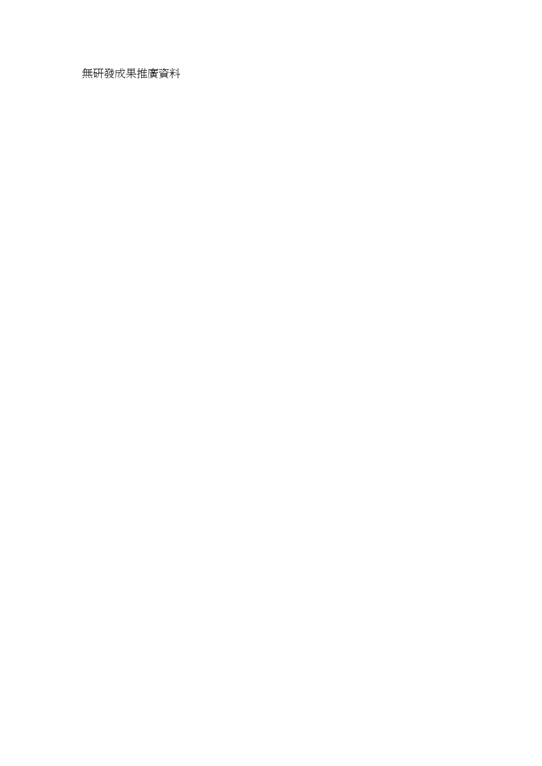無研發成果推廣資料